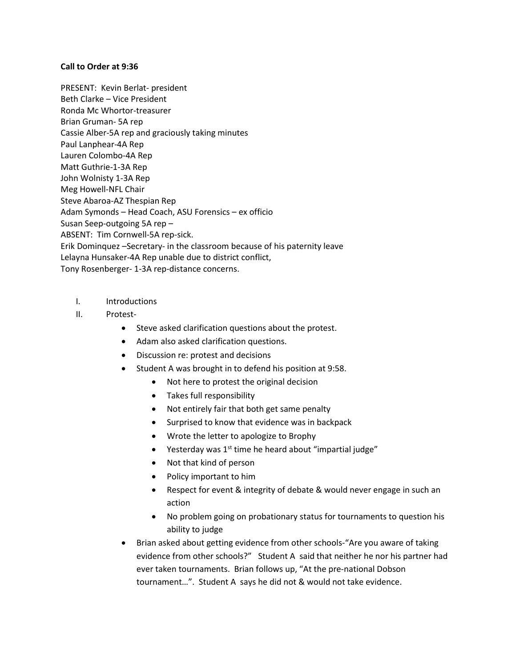#### **Call to Order at 9:36**

PRESENT: Kevin Berlat- president Beth Clarke – Vice President Ronda Mc Whortor-treasurer Brian Gruman- 5A rep Cassie Alber-5A rep and graciously taking minutes Paul Lanphear-4A Rep Lauren Colombo-4A Rep Matt Guthrie-1-3A Rep John Wolnisty 1-3A Rep Meg Howell-NFL Chair Steve Abaroa-AZ Thespian Rep Adam Symonds – Head Coach, ASU Forensics – ex officio Susan Seep-outgoing 5A rep – ABSENT: Tim Cornwell-5A rep-sick. Erik Dominquez –Secretary- in the classroom because of his paternity leave Lelayna Hunsaker-4A Rep unable due to district conflict, Tony Rosenberger- 1-3A rep-distance concerns.

- I. Introductions
- II. Protest-
	- Steve asked clarification questions about the protest.
	- Adam also asked clarification questions.
	- Discussion re: protest and decisions
	- Student A was brought in to defend his position at 9:58.
		- Not here to protest the original decision
		- Takes full responsibility
		- Not entirely fair that both get same penalty
		- Surprised to know that evidence was in backpack
		- Wrote the letter to apologize to Brophy
		- $\bullet$  Yesterday was 1<sup>st</sup> time he heard about "impartial judge"
		- Not that kind of person
		- Policy important to him
		- Respect for event & integrity of debate & would never engage in such an action
		- No problem going on probationary status for tournaments to question his ability to judge
	- Brian asked about getting evidence from other schools-"Are you aware of taking evidence from other schools?" Student A said that neither he nor his partner had ever taken tournaments. Brian follows up, "At the pre-national Dobson tournament…". Student A says he did not & would not take evidence.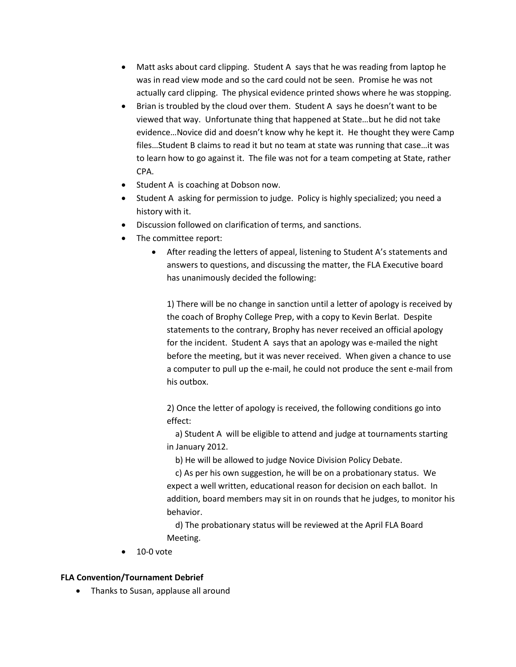- Matt asks about card clipping. Student A says that he was reading from laptop he was in read view mode and so the card could not be seen. Promise he was not actually card clipping. The physical evidence printed shows where he was stopping.
- Brian is troubled by the cloud over them. Student A says he doesn't want to be viewed that way. Unfortunate thing that happened at State…but he did not take evidence…Novice did and doesn't know why he kept it. He thought they were Camp files…Student B claims to read it but no team at state was running that case…it was to learn how to go against it. The file was not for a team competing at State, rather CPA.
- Student A is coaching at Dobson now.
- Student A asking for permission to judge. Policy is highly specialized; you need a history with it.
- Discussion followed on clarification of terms, and sanctions.
- The committee report:
	- After reading the letters of appeal, listening to Student A's statements and answers to questions, and discussing the matter, the FLA Executive board has unanimously decided the following:

1) There will be no change in sanction until a letter of apology is received by the coach of Brophy College Prep, with a copy to Kevin Berlat. Despite statements to the contrary, Brophy has never received an official apology for the incident. Student A says that an apology was e-mailed the night before the meeting, but it was never received. When given a chance to use a computer to pull up the e-mail, he could not produce the sent e-mail from his outbox.

2) Once the letter of apology is received, the following conditions go into effect:

a) Student A will be eligible to attend and judge at tournaments starting in January 2012.

b) He will be allowed to judge Novice Division Policy Debate.

c) As per his own suggestion, he will be on a probationary status. We expect a well written, educational reason for decision on each ballot. In addition, board members may sit in on rounds that he judges, to monitor his behavior.

d) The probationary status will be reviewed at the April FLA Board Meeting.

10-0 vote

### **FLA Convention/Tournament Debrief**

• Thanks to Susan, applause all around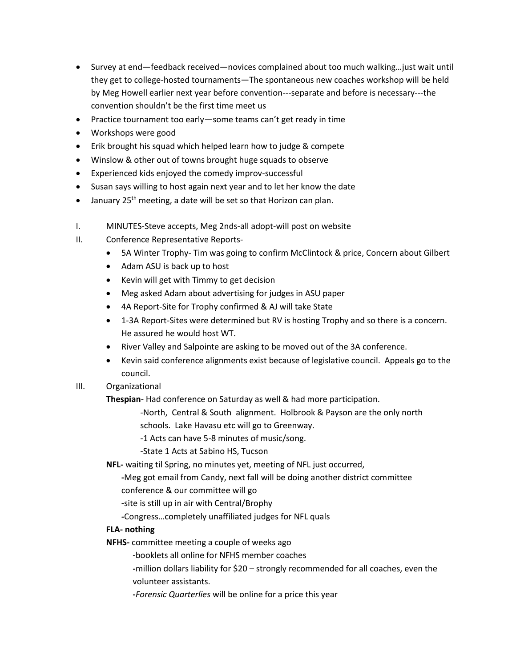- Survey at end—feedback received—novices complained about too much walking…just wait until they get to college-hosted tournaments—The spontaneous new coaches workshop will be held by Meg Howell earlier next year before convention---separate and before is necessary---the convention shouldn't be the first time meet us
- Practice tournament too early some teams can't get ready in time
- Workshops were good
- Erik brought his squad which helped learn how to judge & compete
- Winslow & other out of towns brought huge squads to observe
- Experienced kids enjoyed the comedy improv-successful
- Susan says willing to host again next year and to let her know the date
- $\bullet$  January 25<sup>th</sup> meeting, a date will be set so that Horizon can plan.
- I. MINUTES-Steve accepts, Meg 2nds-all adopt-will post on website
- II. Conference Representative Reports-
	- 5A Winter Trophy- Tim was going to confirm McClintock & price, Concern about Gilbert
	- Adam ASU is back up to host
	- Kevin will get with Timmy to get decision
	- Meg asked Adam about advertising for judges in ASU paper
	- 4A Report-Site for Trophy confirmed & AJ will take State
	- 1-3A Report-Sites were determined but RV is hosting Trophy and so there is a concern. He assured he would host WT.
	- River Valley and Salpointe are asking to be moved out of the 3A conference.
	- Kevin said conference alignments exist because of legislative council. Appeals go to the council.
- III. Organizational

**Thespian**- Had conference on Saturday as well & had more participation.

- -North, Central & South alignment. Holbrook & Payson are the only north schools. Lake Havasu etc will go to Greenway.
- -1 Acts can have 5-8 minutes of music/song.

-State 1 Acts at Sabino HS, Tucson

**NFL-** waiting til Spring, no minutes yet, meeting of NFL just occurred,

**-**Meg got email from Candy, next fall will be doing another district committee conference & our committee will go

**-**site is still up in air with Central/Brophy

**-**Congress…completely unaffiliated judges for NFL quals

# **FLA- nothing**

**NFHS-** committee meeting a couple of weeks ago

**-**booklets all online for NFHS member coaches

**-**million dollars liability for \$20 – strongly recommended for all coaches, even the volunteer assistants.

**-***Forensic Quarterlies* will be online for a price this year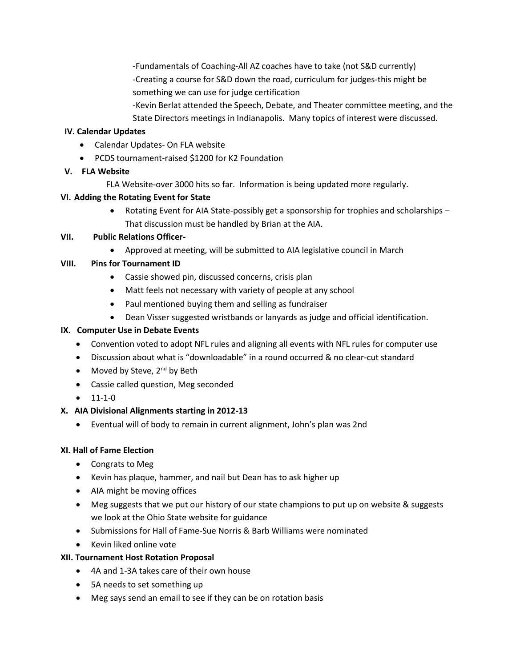-Fundamentals of Coaching-All AZ coaches have to take (not S&D currently) -Creating a course for S&D down the road, curriculum for judges-this might be something we can use for judge certification

-Kevin Berlat attended the Speech, Debate, and Theater committee meeting, and the State Directors meetings in Indianapolis. Many topics of interest were discussed.

## **IV. Calendar Updates**

- Calendar Updates- On FLA website
- PCDS tournament-raised \$1200 for K2 Foundation

## **V. FLA Website**

FLA Website-over 3000 hits so far. Information is being updated more regularly.

## **VI. Adding the Rotating Event for State**

• Rotating Event for AIA State-possibly get a sponsorship for trophies and scholarships – That discussion must be handled by Brian at the AIA.

### **VII. Public Relations Officer-**

Approved at meeting, will be submitted to AIA legislative council in March

## **VIII. Pins for Tournament ID**

- Cassie showed pin, discussed concerns, crisis plan
- Matt feels not necessary with variety of people at any school
- Paul mentioned buying them and selling as fundraiser
- Dean Visser suggested wristbands or lanyards as judge and official identification.

## **IX. Computer Use in Debate Events**

- Convention voted to adopt NFL rules and aligning all events with NFL rules for computer use
- Discussion about what is "downloadable" in a round occurred & no clear-cut standard
- Moved by Steve,  $2^{nd}$  by Beth
- Cassie called question, Meg seconded
- $\bullet$  11-1-0

# **X. AIA Divisional Alignments starting in 2012-13**

Eventual will of body to remain in current alignment, John's plan was 2nd

### **XI. Hall of Fame Election**

- Congrats to Meg
- Kevin has plaque, hammer, and nail but Dean has to ask higher up
- AIA might be moving offices
- Meg suggests that we put our history of our state champions to put up on website & suggests we look at the Ohio State website for guidance
- Submissions for Hall of Fame-Sue Norris & Barb Williams were nominated
- Kevin liked online vote

### **XII. Tournament Host Rotation Proposal**

- 4A and 1-3A takes care of their own house
- 5A needs to set something up
- Meg says send an email to see if they can be on rotation basis